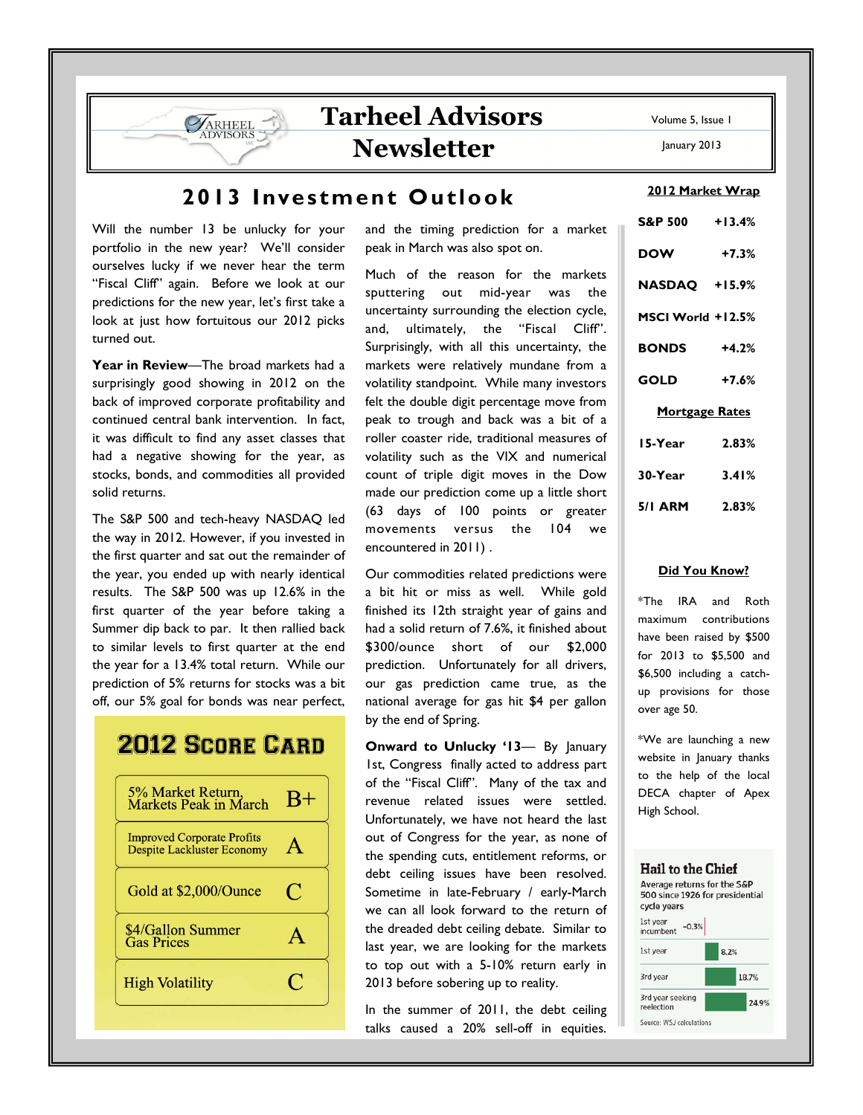## Tarheel Advisors Newsletter

## 2013 Investment Outlook

Will the number 13 be unlucky for your portfolio in the new year? We'll consider ourselves lucky if we never hear the term "Fiscal Cliff" again. Before we look at our predictions for the new year, let's first take a look at just how fortuitous our 2012 picks turned out.

ARHEEL **DVISORS** 

Year in Review-The broad markets had a surprisingly good showing in 2012 on the back of improved corporate profitability and continued central bank intervention. In fact, it was difficult to find any asset classes that had a negative showing for the year, as stocks, bonds, and commodities all provided solid returns.

The S&P 500 and tech-heavy NASDAQ led the way in 2012. However, if you invested in the first quarter and sat out the remainder of the year, you ended up with nearly identical results. The S&P 500 was up 12.6% in the first quarter of the year before taking a Summer dip back to par. It then rallied back to similar levels to first quarter at the end the year for a 13.4% total return. While our prediction of 5% returns for stocks was a bit off, our 5% goal for bonds was near perfect,

# **2012 SCORE CARD**

| $B+$ |
|------|
|      |
| C    |
|      |
|      |
|      |

and the timing prediction for a market peak in March was also spot on.

Much of the reason for the markets sputtering out mid-year was the uncertainty surrounding the election cycle, and, ultimately, the "Fiscal Cliff". Surprisingly, with all this uncertainty, the markets were relatively mundane from a volatility standpoint. While many investors felt the double digit percentage move from peak to trough and back was a bit of a roller coaster ride, traditional measures of volatility such as the VIX and numerical count of triple digit moves in the Dow made our prediction come up a little short (63 days of 100 points or greater movements versus the 104 we encountered in 2011) .

Our commodities related predictions were a bit hit or miss as well. While gold finished its 12th straight year of gains and had a solid return of 7.6%, it finished about \$300/ounce short of our \$2,000 prediction. Unfortunately for all drivers, our gas prediction came true, as the national average for gas hit \$4 per gallon by the end of Spring.

Onward to Unlucky '13— By January 1st, Congress finally acted to address part of the "Fiscal Cliff". Many of the tax and revenue related issues were settled. Unfortunately, we have not heard the last out of Congress for the year, as none of the spending cuts, entitlement reforms, or debt ceiling issues have been resolved. Sometime in late-February / early-March we can all look forward to the return of the dreaded debt ceiling debate. Similar to last year, we are looking for the markets to top out with a 5-10% return early in 2013 before sobering up to reality.

In the summer of 2011, the debt ceiling talks caused a 20% sell-off in equities.

Volume 5, Issue 1

January 2013

2012 Market Wrap

| <u>ZULZ Market Wrap</u> |         |  |
|-------------------------|---------|--|
| S&P 500 +13.4%          |         |  |
| <b>DOW</b>              | $+7.3%$ |  |
| NASDAQ +15.9%           |         |  |
| MSCI World +12.5%       |         |  |
| <b>BONDS</b> +4.2%      |         |  |
| $GOLD$ +7.6%            |         |  |
| <b>Mortgage Rates</b>   |         |  |
| 15-Year                 | 2.83%   |  |
| $30 - Year$ $3.41\%$    |         |  |
| 5/1 ARM 2.83%           |         |  |

#### Did You Know?

\*The IRA and Roth maximum contributions have been raised by \$500 for 2013 to \$5,500 and \$6,500 including a catchup provisions for those over age 50.

\*We are launching a new website in January thanks to the help of the local DECA chapter of Apex High School.